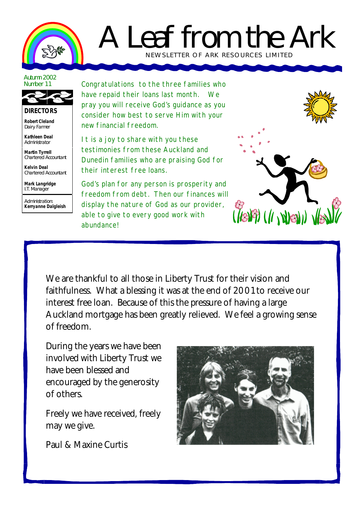

## A Leaf from the Ark NEWSLETTER OF ARK RE SOURCES LIMITED

## Autumn 2002 Number 11



## **DIRECTORS**

**Robert Cleland** Dairy Farmer

**Kathleen Deal** Administrator

**Martin Tyrrell** Chartered Accountant

**Kelvin Deal** Chartered Accountant

**Mark Langridge** I.T. Manager

Administration: **Kerryanne Dalgleish** Congratulations to the three families who have repaid their loans last month. We pray you will receive God's guidance as you consider how best to serve Him with your new financial freedom.

It is a joy to share with you these testimonies from these Auckland and Dunedin families who are praising God for their interest free loans.

God's plan for any person is prosperity and freedom from debt. Then our finances will display the nature of God as our provider, able to give to every good work with abundance!



We are thankful to all those in Liberty Trust for their vision and faithfulness. What a blessing it was at the end of 2001 to receive our interest free loan. Because of this the pressure of having a large Auckland mortgage has been greatly relieved. We feel a growing sense of freedom.

During the years we have been involved with Liberty Trust we have been blessed and encouraged by the generosity of others.

Freely we have received, freely may we give.

Paul & Maxine Curtis